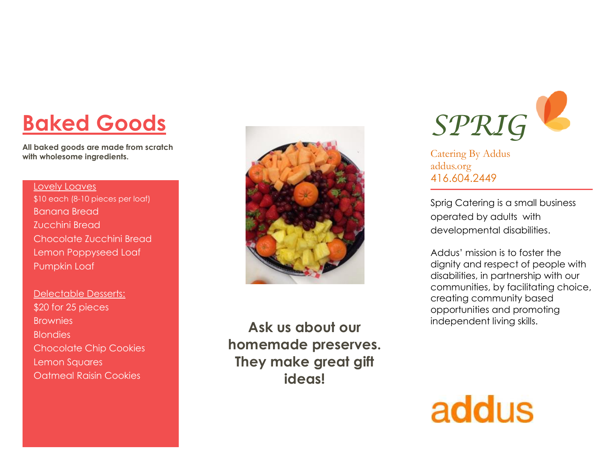# **Baked Goods**

**All baked goods are made from scratch with wholesome ingredients.** 

### Lovely Loaves \$10 each (8-10 pieces per loaf) Banana Bread Zucchini Bread Chocolate Zucchini Bread Lemon Poppyseed Loaf Pumpkin Loaf

Delectable Desserts: \$20 for 25 pieces **Brownies Blondies** Chocolate Chip Cookies Lemon Squares Oatmeal Raisin Cookies



**Ask us about our homemade preserves. They make great gift ideas!**



Catering By Addus addus.org 416.604.2449

Sprig Catering is a small business operated by adults with developmental disabilities.

Addus' mission is to foster the dignity and respect of people with disabilities, in partnership with our communities, by facilitating choice, creating community based opportunities and promoting independent living skills.